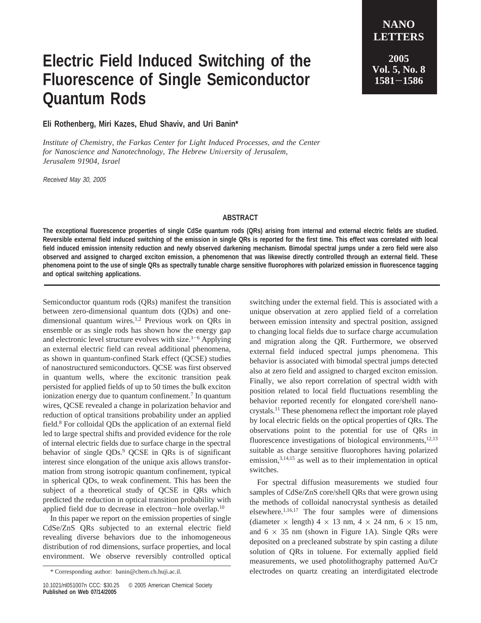## **Electric Field Induced Switching of the Fluorescence of Single Semiconductor Quantum Rods**

**NANO LETTERS 2005**

**Vol. 5, No. 8 <sup>1581</sup>**-**<sup>1586</sup>**

**Eli Rothenberg, Miri Kazes, Ehud Shaviv, and Uri Banin\***

*Institute of Chemistry, the Farkas Center for Light Induced Processes, and the Center* for Nanoscience and Nanotechnology, The Hebrew University of Jerusalem, *Jerusalem 91904, Israel*

Received May 30, 2005

## **ABSTRACT**

**The exceptional fluorescence properties of single CdSe quantum rods (QRs) arising from internal and external electric fields are studied. Reversible external field induced switching of the emission in single QRs is reported for the first time. This effect was correlated with local field induced emission intensity reduction and newly observed darkening mechanism. Bimodal spectral jumps under a zero field were also observed and assigned to charged exciton emission, a phenomenon that was likewise directly controlled through an external field. These phenomena point to the use of single QRs as spectrally tunable charge sensitive fluorophores with polarized emission in fluorescence tagging and optical switching applications.**

Semiconductor quantum rods (QRs) manifest the transition between zero-dimensional quantum dots (QDs) and onedimensional quantum wires.<sup>1,2</sup> Previous work on QRs in ensemble or as single rods has shown how the energy gap and electronic level structure evolves with size. $3-6$  Applying an external electric field can reveal additional phenomena, as shown in quantum-confined Stark effect (QCSE) studies of nanostructured semiconductors. QCSE was first observed in quantum wells, where the excitonic transition peak persisted for applied fields of up to 50 times the bulk exciton ionization energy due to quantum confinement.<sup>7</sup> In quantum wires, QCSE revealed a change in polarization behavior and reduction of optical transitions probability under an applied field.8 For colloidal QDs the application of an external field led to large spectral shifts and provided evidence for the role of internal electric fields due to surface charge in the spectral behavior of single QDs.9 QCSE in QRs is of significant interest since elongation of the unique axis allows transformation from strong isotropic quantum confinement, typical in spherical QDs, to weak confinement. This has been the subject of a theoretical study of QCSE in QRs which predicted the reduction in optical transition probability with applied field due to decrease in electron-hole overlap.10

In this paper we report on the emission properties of single CdSe/ZnS QRs subjected to an external electric field revealing diverse behaviors due to the inhomogeneous distribution of rod dimensions, surface properties, and local environment. We observe reversibly controlled optical

switching under the external field. This is associated with a unique observation at zero applied field of a correlation between emission intensity and spectral position, assigned to changing local fields due to surface charge accumulation and migration along the QR. Furthermore, we observed external field induced spectral jumps phenomena. This behavior is associated with bimodal spectral jumps detected also at zero field and assigned to charged exciton emission. Finally, we also report correlation of spectral width with position related to local field fluctuations resembling the behavior reported recently for elongated core/shell nanocrystals.11 These phenomena reflect the important role played by local electric fields on the optical properties of QRs. The observations point to the potential for use of QRs in fluorescence investigations of biological environments, $12,13$ suitable as charge sensitive fluorophores having polarized emission,<sup>3,14,15</sup> as well as to their implementation in optical switches.

For spectral diffusion measurements we studied four samples of CdSe/ZnS core/shell QRs that were grown using the methods of colloidal nanocrystal synthesis as detailed elsewhere.1,16,17 The four samples were of dimensions (diameter  $\times$  length) 4  $\times$  13 nm, 4  $\times$  24 nm, 6  $\times$  15 nm, and  $6 \times 35$  nm (shown in Figure 1A). Single QRs were deposited on a precleaned substrate by spin casting a dilute solution of QRs in toluene. For externally applied field measurements, we used photolithography patterned Au/Cr \* Corresponding author: banin@chem.ch.huji.ac.il. electrodes on quartz creating an interdigitated electrode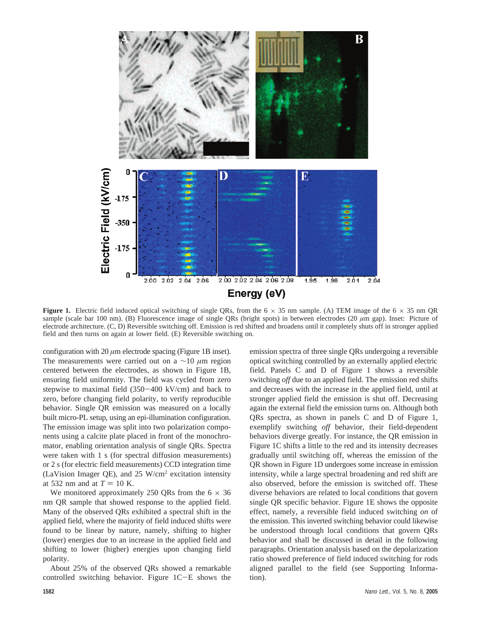

**Figure 1.** Electric field induced optical switching of single QRs, from the  $6 \times 35$  nm sample. (A) TEM image of the  $6 \times 35$  nm QR sample (scale bar 100 nm). (B) Fluorescence image of single QRs (bright spots) in between electrodes (20 *µ*m gap). Inset: Picture of electrode architecture. (C, D) Reversible switching off. Emission is red shifted and broadens until it completely shuts off in stronger applied field and then turns on again at lower field. (E) Reversible switching on.

configuration with  $20 \mu m$  electrode spacing (Figure 1B inset). The measurements were carried out on a ∼10 *µ*m region centered between the electrodes, as shown in Figure 1B, ensuring field uniformity. The field was cycled from zero stepwise to maximal field (350-400 kV/cm) and back to zero, before changing field polarity, to verify reproducible behavior. Single QR emission was measured on a locally built micro-PL setup, using an epi-illumination configuration. The emission image was split into two polarization components using a calcite plate placed in front of the monochromator, enabling orientation analysis of single QRs. Spectra were taken with 1 s (for spectral diffusion measurements) or 2 s (for electric field measurements) CCD integration time (LaVision Imager QE), and 25 W/cm2 excitation intensity at 532 nm and at  $T = 10$  K.

We monitored approximately 250 QRs from the  $6 \times 36$ nm QR sample that showed response to the applied field. Many of the observed QRs exhibited a spectral shift in the applied field, where the majority of field induced shifts were found to be linear by nature, namely, shifting to higher (lower) energies due to an increase in the applied field and shifting to lower (higher) energies upon changing field polarity.

About 25% of the observed QRs showed a remarkable controlled switching behavior. Figure 1C-E shows the emission spectra of three single QRs undergoing a reversible optical switching controlled by an externally applied electric field. Panels C and D of Figure 1 shows a reversible switching *off* due to an applied field. The emission red shifts and decreases with the increase in the applied field, until at stronger applied field the emission is shut off. Decreasing again the external field the emission turns on. Although both QRs spectra, as shown in panels C and D of Figure 1, exemplify switching *off* behavior, their field-dependent behaviors diverge greatly. For instance, the QR emission in Figure 1C shifts a little to the red and its intensity decreases gradually until switching off, whereas the emission of the QR shown in Figure 1D undergoes some increase in emission intensity, while a large spectral broadening and red shift are also observed, before the emission is switched off. These diverse behaviors are related to local conditions that govern single QR specific behavior. Figure 1E shows the opposite effect, namely, a reversible field induced switching *on* of the emission. This inverted switching behavior could likewise be understood through local conditions that govern QRs behavior and shall be discussed in detail in the following paragraphs. Orientation analysis based on the depolarization ratio showed preference of field induced switching for rods aligned parallel to the field (see Supporting Information).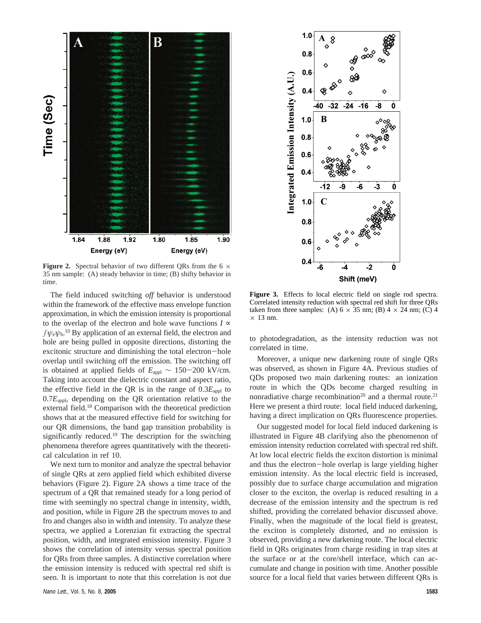

**Figure 2.** Spectral behavior of two different ORs from the 6  $\times$ 35 nm sample: (A) steady behavior in time; (B) shifty behavior in time.

The field induced switching *off* behavior is understood within the framework of the effective mass envelope function approximation, in which the emission intensity is proportional to the overlap of the electron and hole wave functions  $I \propto$  $\int \psi_e \psi_h$ .<sup>10</sup> By application of an external field, the electron and hole are being pulled in opposite directions, distorting the excitonic structure and diminishing the total electron-hole overlap until switching off the emission. The switching off is obtained at applied fields of *<sup>E</sup>*appl <sup>∼</sup> <sup>150</sup>-200 kV/cm. Taking into account the dielectric constant and aspect ratio, the effective field in the QR is in the range of  $0.3E<sub>appl</sub>$  to 0.7*E*appl, depending on the QR orientation relative to the external field.18 Comparison with the theoretical prediction shows that at the measured effective field for switching for our QR dimensions, the band gap transition probability is significantly reduced.19 The description for the switching phenomena therefore agrees quantitatively with the theoretical calculation in ref 10.

We next turn to monitor and analyze the spectral behavior of single QRs at zero applied field which exhibited diverse behaviors (Figure 2). Figure 2A shows a time trace of the spectrum of a QR that remained steady for a long period of time with seemingly no spectral change in intensity, width, and position, while in Figure 2B the spectrum moves to and fro and changes also in width and intensity. To analyze these spectra, we applied a Lorenzian fit extracting the spectral position, width, and integrated emission intensity. Figure 3 shows the correlation of intensity versus spectral position for QRs from three samples. A distinctive correlation where the emission intensity is reduced with spectral red shift is seen. It is important to note that this correlation is not due



**Figure 3.** Effects fo local electric field on single rod spectra. Correlated intensity reduction with spectral red shift for three QRs taken from three samples: (A)  $6 \times 35$  nm; (B)  $4 \times 24$  nm; (C) 4  $\times$  13 nm.

to photodegradation, as the intensity reduction was not correlated in time.

Moreover, a unique new darkening route of single QRs was observed, as shown in Figure 4A. Previous studies of QDs proposed two main darkening routes: an ionization route in which the QDs become charged resulting in nonradiative charge recombination<sup>20</sup> and a thermal route.<sup>21</sup> Here we present a third route: local field induced darkening, having a direct implication on QRs fluorescence properties.

Our suggested model for local field induced darkening is illustrated in Figure 4B clarifying also the phenomenon of emission intensity reduction correlated with spectral red shift. At low local electric fields the exciton distortion is minimal and thus the electron-hole overlap is large yielding higher emission intensity. As the local electric field is increased, possibly due to surface charge accumulation and migration closer to the exciton, the overlap is reduced resulting in a decrease of the emission intensity and the spectrum is red shifted, providing the correlated behavior discussed above. Finally, when the magnitude of the local field is greatest, the exciton is completely distorted, and no emission is observed, providing a new darkening route. The local electric field in QRs originates from charge residing in trap sites at the surface or at the core/shell interface, which can accumulate and change in position with time. Another possible source for a local field that varies between different QRs is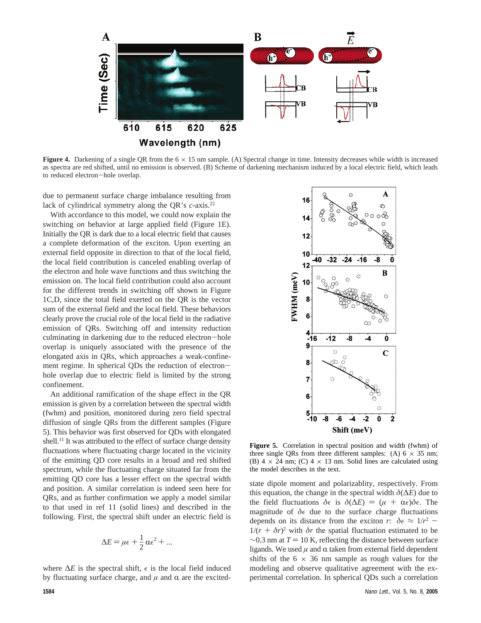

**Figure 4.** Darkening of a single QR from the  $6 \times 15$  nm sample. (A) Spectral change in time. Intensity decreases while width is increased as spectra are red shifted, until no emission is observed. (B) Scheme of darkening mechanism induced by a local electric field, which leads to reduced electron-hole overlap.

due to permanent surface charge imbalance resulting from lack of cylindrical symmetry along the OR's *c*-axis.<sup>22</sup>

With accordance to this model, we could now explain the switching *on* behavior at large applied field (Figure 1E). Initially the QR is dark due to a local electric field that causes a complete deformation of the exciton. Upon exerting an external field opposite in direction to that of the local field, the local field contribution is canceled enabling overlap of the electron and hole wave functions and thus switching the emission on. The local field contribution could also account for the different trends in switching off shown in Figure 1C,D, since the total field exerted on the QR is the vector sum of the external field and the local field. These behaviors clearly prove the crucial role of the local field in the radiative emission of QRs. Switching off and intensity reduction culminating in darkening due to the reduced electron-hole overlap is uniquely associated with the presence of the elongated axis in QRs, which approaches a weak-confinement regime. In spherical QDs the reduction of electronhole overlap due to electric field is limited by the strong confinement.

An additional ramification of the shape effect in the QR emission is given by a correlation between the spectral width (fwhm) and position, monitored during zero field spectral diffusion of single QRs from the different samples (Figure 5). This behavior was first observed for QDs with elongated shell.<sup>11</sup> It was attributed to the effect of surface charge density fluctuations where fluctuating charge located in the vicinity of the emitting QD core results in a broad and red shifted spectrum, while the fluctuating charge situated far from the emitting QD core has a lesser effect on the spectral width and position. A similar correlation is indeed seen here for QRs, and as further confirmation we apply a model similar to that used in ref 11 (solid lines) and described in the following. First, the spectral shift under an electric field is

$$
\Delta E = \mu \epsilon + \frac{1}{2} \alpha \epsilon^2 + \dots
$$

where  $\Delta E$  is the spectral shift,  $\epsilon$  is the local field induced by fluctuating surface charge, and  $\mu$  and  $\alpha$  are the excited-<br>1584



**Figure 5.** Correlation in spectral position and width (fwhm) of three single QRs from three different samples: (A)  $6 \times 35$  nm; (B)  $4 \times 24$  nm; (C)  $4 \times 13$  nm. Solid lines are calculated using the model describes in the text.

state dipole moment and polarizablity, respectively. From this equation, the change in the spectral width  $\delta(\Delta E)$  due to the field fluctuations  $\delta \epsilon$  is  $\delta(\Delta E) = (\mu + \alpha \epsilon) \delta \epsilon$ . The magnitude of  $\delta \epsilon$  due to the surface charge fluctuations depends on its distance from the exciton *r*:  $\delta \epsilon \approx 1/r^2$  –  $1/(r + \delta r)^2$  with  $\delta r$  the spatial fluctuation estimated to be  $\sim$ 0.3 nm at  $T = 10$  K, reflecting the distance between surface ligands. We used  $\mu$  and  $\alpha$  taken from external field dependent shifts of the  $6 \times 36$  nm sample as rough values for the modeling and observe qualitative agreement with the experimental correlation. In spherical QDs such a correlation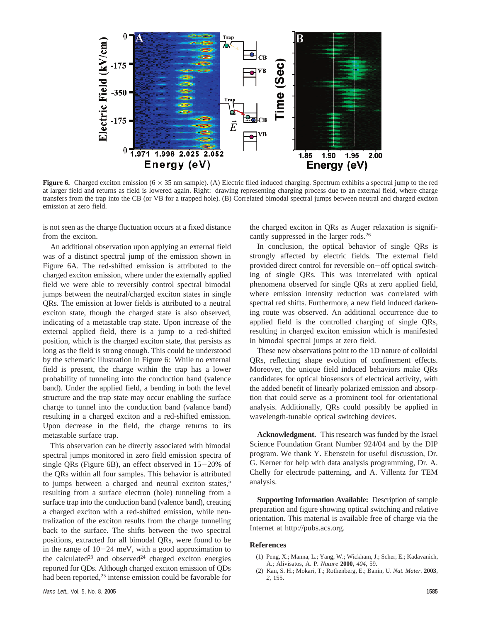

**Figure 6.** Charged exciton emission  $(6 \times 35 \text{ nm sample})$ . (A) Electric filed induced charging. Spectrum exhibits a spectral jump to the red at larger field and returns as field is lowered again. Right: drawing representing charging process due to an external field, where charge transfers from the trap into the CB (or VB for a trapped hole). (B) Correlated bimodal spectral jumps between neutral and charged exciton emission at zero field.

is not seen as the charge fluctuation occurs at a fixed distance from the exciton.

An additional observation upon applying an external field was of a distinct spectral jump of the emission shown in Figure 6A. The red-shifted emission is attributed to the charged exciton emission, where under the externally applied field we were able to reversibly control spectral bimodal jumps between the neutral/charged exciton states in single QRs. The emission at lower fields is attributed to a neutral exciton state, though the charged state is also observed, indicating of a metastable trap state. Upon increase of the external applied field, there is a jump to a red-shifted position, which is the charged exciton state, that persists as long as the field is strong enough. This could be understood by the schematic illustration in Figure 6: While no external field is present, the charge within the trap has a lower probability of tunneling into the conduction band (valence band). Under the applied field, a bending in both the level structure and the trap state may occur enabling the surface charge to tunnel into the conduction band (valance band) resulting in a charged exciton and a red-shifted emission. Upon decrease in the field, the charge returns to its metastable surface trap.

This observation can be directly associated with bimodal spectral jumps monitored in zero field emission spectra of single QRs (Figure  $6B$ ), an effect observed in  $15-20\%$  of the QRs within all four samples. This behavior is attributed to jumps between a charged and neutral exciton states,<sup>5</sup> resulting from a surface electron (hole) tunneling from a surface trap into the conduction band (valence band), creating a charged exciton with a red-shifted emission, while neutralization of the exciton results from the charge tunneling back to the surface. The shifts between the two spectral positions, extracted for all bimodal QRs, were found to be in the range of  $10-24$  meV, with a good approximation to the calculated<sup>23</sup> and observed<sup>24</sup> charged exciton energies reported for QDs. Although charged exciton emission of QDs had been reported, $25$  intense emission could be favorable for

the charged exciton in QRs as Auger relaxation is significantly suppressed in the larger rods.26

In conclusion, the optical behavior of single QRs is strongly affected by electric fields. The external field provided direct control for reversible on-off optical switching of single QRs. This was interrelated with optical phenomena observed for single QRs at zero applied field, where emission intensity reduction was correlated with spectral red shifts. Furthermore, a new field induced darkening route was observed. An additional occurrence due to applied field is the controlled charging of single QRs, resulting in charged exciton emission which is manifested in bimodal spectral jumps at zero field.

These new observations point to the 1D nature of colloidal QRs, reflecting shape evolution of confinement effects. Moreover, the unique field induced behaviors make QRs candidates for optical biosensors of electrical activity, with the added benefit of linearly polarized emission and absorption that could serve as a prominent tool for orientational analysis. Additionally, QRs could possibly be applied in wavelength-tunable optical switching devices.

**Acknowledgment.** This research was funded by the Israel Science Foundation Grant Number 924/04 and by the DIP program. We thank Y. Ebenstein for useful discussion, Dr. G. Kerner for help with data analysis programming, Dr. A. Chelly for electrode patterning, and A. Villentz for TEM analysis.

**Supporting Information Available:** Description of sample preparation and figure showing optical switching and relative orientation. This material is available free of charge via the Internet at http://pubs.acs.org.

## **References**

- (1) Peng, X.; Manna, L.; Yang, W.; Wickham, J.; Scher, E.; Kadavanich, A.; Alivisatos, A. P. *Nature* **2000,** *404*, 59.
- (2) Kan, S. H.; Mokari, T.; Rothenberg, E.; Banin, U. *Nat. Mater.* **2003**, *2*, 155.